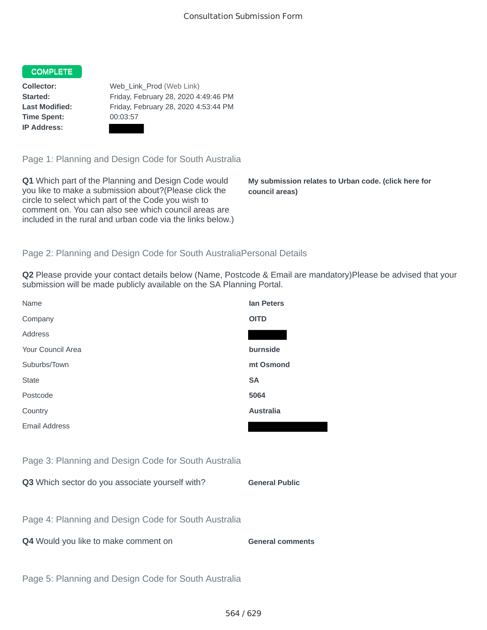## COMPLETE

**Time Spent:** 00:03:57 **IP Address:**

**Collector:** Web\_Link\_Prod (Web Link) **Started:** Friday, February 28, 2020 4:49:46 PM **Last Modified:** Friday, February 28, 2020 4:53:44 PM

Page 1: Planning and Design Code for South Australia

**Q1** Which part of the Planning and Design Code would you like to make a submission about?(Please click the circle to select which part of the Code you wish to comment on. You can also see which council areas are included in the rural and urban code via the links below.)

**My submission relates to Urban code. (click here for council areas)**

## Page 2: Planning and Design Code for South AustraliaPersonal Details

**Q2** Please provide your contact details below (Name, Postcode & Email are mandatory)Please be advised that your submission will be made publicly available on the SA Planning Portal.

| Name                                                 | <b>lan Peters</b>       |
|------------------------------------------------------|-------------------------|
| Company                                              | <b>OITD</b>             |
| Address                                              |                         |
| Your Council Area                                    | burnside                |
| Suburbs/Town                                         | mt Osmond               |
| <b>State</b>                                         | <b>SA</b>               |
| Postcode                                             | 5064                    |
| Country                                              | <b>Australia</b>        |
| <b>Email Address</b>                                 |                         |
|                                                      |                         |
| Page 3: Planning and Design Code for South Australia |                         |
| Q3 Which sector do you associate yourself with?      | <b>General Public</b>   |
|                                                      |                         |
| Page 4: Planning and Design Code for South Australia |                         |
| Q4 Would you like to make comment on                 | <b>General comments</b> |
|                                                      |                         |
| Page 5: Planning and Design Code for South Australia |                         |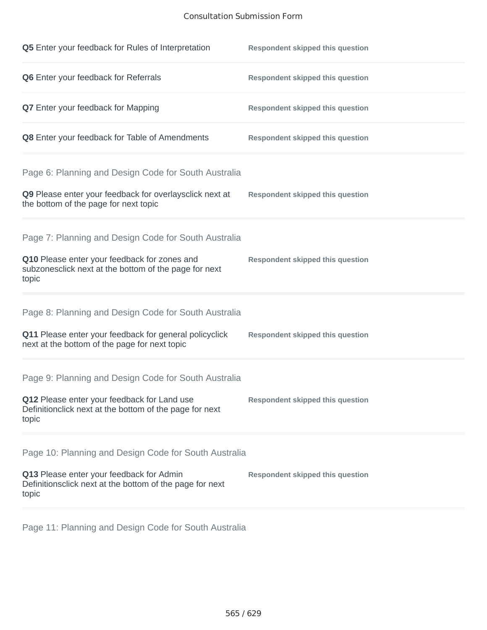## Consultation Submission Form

| Q5 Enter your feedback for Rules of Interpretation                                                              | <b>Respondent skipped this question</b> |
|-----------------------------------------------------------------------------------------------------------------|-----------------------------------------|
| Q6 Enter your feedback for Referrals                                                                            | <b>Respondent skipped this question</b> |
| <b>Q7</b> Enter your feedback for Mapping                                                                       | <b>Respondent skipped this question</b> |
| Q8 Enter your feedback for Table of Amendments                                                                  | <b>Respondent skipped this question</b> |
| Page 6: Planning and Design Code for South Australia                                                            |                                         |
| Q9 Please enter your feedback for overlaysclick next at<br>the bottom of the page for next topic                | <b>Respondent skipped this question</b> |
| Page 7: Planning and Design Code for South Australia                                                            |                                         |
| Q10 Please enter your feedback for zones and<br>subzonesclick next at the bottom of the page for next<br>topic  | <b>Respondent skipped this question</b> |
| Page 8: Planning and Design Code for South Australia                                                            |                                         |
| Q11 Please enter your feedback for general policyclick<br>next at the bottom of the page for next topic         | <b>Respondent skipped this question</b> |
| Page 9: Planning and Design Code for South Australia                                                            |                                         |
| Q12 Please enter your feedback for Land use<br>Definitionclick next at the bottom of the page for next<br>topic | <b>Respondent skipped this question</b> |
| Page 10: Planning and Design Code for South Australia                                                           |                                         |
| Q13 Please enter your feedback for Admin<br>Definitionsclick next at the bottom of the page for next<br>topic   | <b>Respondent skipped this question</b> |

Page 11: Planning and Design Code for South Australia